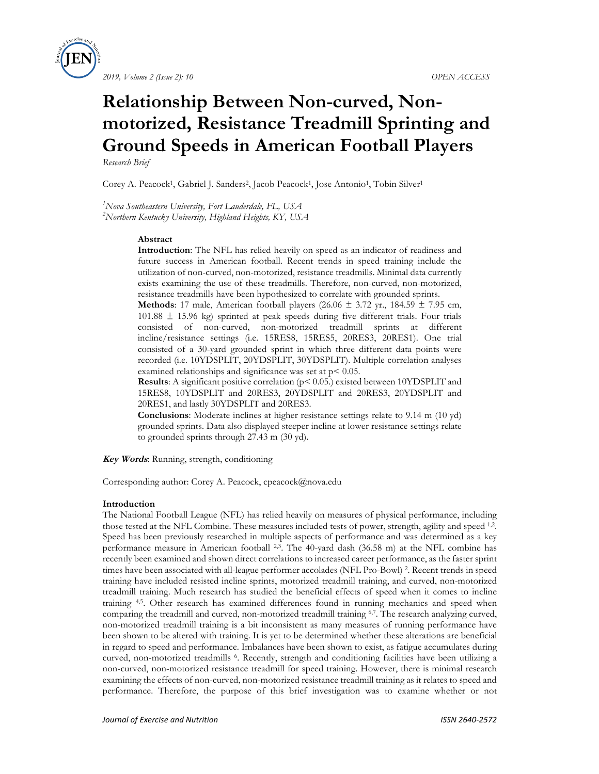



# **Relationship Between Non-curved, Nonmotorized, Resistance Treadmill Sprinting and Ground Speeds in American Football Players**

*Research Brief*

Corey A. Peacock<sup>1</sup>, Gabriel J. Sanders<sup>2</sup>, Jacob Peacock<sup>1</sup>, Jose Antonio<sup>1</sup>, Tobin Silver<sup>1</sup>

*1 Nova Southeastern University, Fort Lauderdale, FL, USA 2 Northern Kentucky University, Highland Heights, KY, USA*

#### **Abstract**

**Introduction**: The NFL has relied heavily on speed as an indicator of readiness and future success in American football. Recent trends in speed training include the utilization of non-curved, non-motorized, resistance treadmills. Minimal data currently exists examining the use of these treadmills. Therefore, non-curved, non-motorized, resistance treadmills have been hypothesized to correlate with grounded sprints.

**Methods**: 17 male, American football players (26.06  $\pm$  3.72 yr., 184.59  $\pm$  7.95 cm,  $101.88 \pm 15.96$  kg) sprinted at peak speeds during five different trials. Four trials consisted of non-curved, non-motorized treadmill sprints at different incline/resistance settings (i.e. 15RES8, 15RES5, 20RES3, 20RES1). One trial consisted of a 30-yard grounded sprint in which three different data points were recorded (i.e. 10YDSPLIT, 20YDSPLIT, 30YDSPLIT). Multiple correlation analyses examined relationships and significance was set at  $p < 0.05$ .

**Results**: A significant positive correlation (p< 0.05.) existed between 10YDSPLIT and 15RES8, 10YDSPLIT and 20RES3, 20YDSPLIT and 20RES3, 20YDSPLIT and 20RES1, and lastly 30YDSPLIT and 20RES3.

**Conclusions**: Moderate inclines at higher resistance settings relate to 9.14 m (10 yd) grounded sprints. Data also displayed steeper incline at lower resistance settings relate to grounded sprints through 27.43 m (30 yd).

**Key Words**: Running, strength, conditioning

Corresponding author: Corey A. Peacock, cpeacock@nova.edu

#### **Introduction**

The National Football League (NFL) has relied heavily on measures of physical performance, including those tested at the NFL Combine. These measures included tests of power, strength, agility and speed <sup>1,2</sup>. Speed has been previously researched in multiple aspects of performance and was determined as a key performance measure in American football 2,3. The 40-yard dash (36.58 m) at the NFL combine has recently been examined and shown direct correlations to increased career performance, as the faster sprint times have been associated with all-league performer accolades (NFL Pro-Bowl) 2. Recent trends in speed training have included resisted incline sprints, motorized treadmill training, and curved, non-motorized treadmill training. Much research has studied the beneficial effects of speed when it comes to incline training 4,5. Other research has examined differences found in running mechanics and speed when comparing the treadmill and curved, non-motorized treadmill training 6,7. The research analyzing curved, non-motorized treadmill training is a bit inconsistent as many measures of running performance have been shown to be altered with training. It is yet to be determined whether these alterations are beneficial in regard to speed and performance. Imbalances have been shown to exist, as fatigue accumulates during curved, non-motorized treadmills 6. Recently, strength and conditioning facilities have been utilizing a non-curved, non-motorized resistance treadmill for speed training. However, there is minimal research examining the effects of non-curved, non-motorized resistance treadmill training as it relates to speed and performance. Therefore, the purpose of this brief investigation was to examine whether or not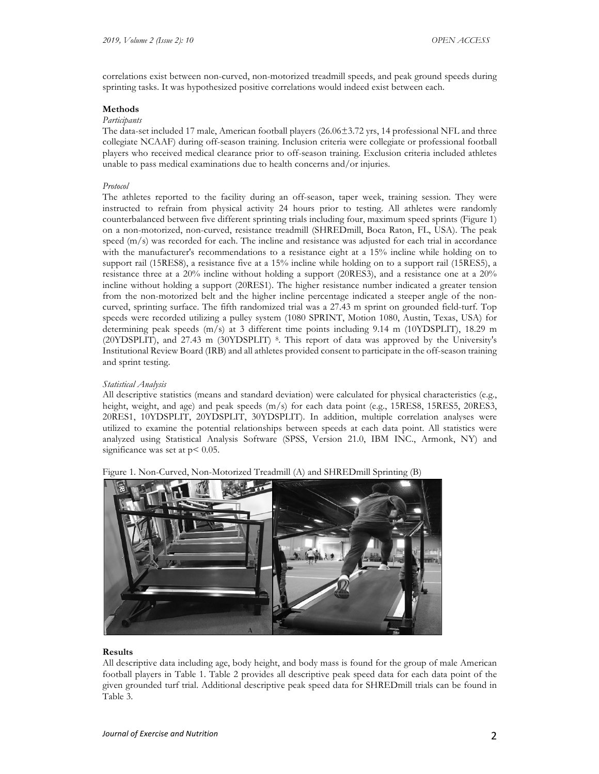correlations exist between non-curved, non-motorized treadmill speeds, and peak ground speeds during sprinting tasks. It was hypothesized positive correlations would indeed exist between each.

## **Methods**

# *Participants*

The data-set included 17 male, American football players (26.06±3.72 yrs, 14 professional NFL and three collegiate NCAAF) during off-season training. Inclusion criteria were collegiate or professional football players who received medical clearance prior to off-season training. Exclusion criteria included athletes unable to pass medical examinations due to health concerns and/or injuries.

### *Protocol*

The athletes reported to the facility during an off-season, taper week, training session. They were instructed to refrain from physical activity 24 hours prior to testing. All athletes were randomly counterbalanced between five different sprinting trials including four, maximum speed sprints (Figure 1) on a non-motorized, non-curved, resistance treadmill (SHREDmill, Boca Raton, FL, USA). The peak speed (m/s) was recorded for each. The incline and resistance was adjusted for each trial in accordance with the manufacturer's recommendations to a resistance eight at a 15% incline while holding on to support rail (15RES8), a resistance five at a 15% incline while holding on to a support rail (15RES5), a resistance three at a 20% incline without holding a support (20RES3), and a resistance one at a 20% incline without holding a support (20RES1). The higher resistance number indicated a greater tension from the non-motorized belt and the higher incline percentage indicated a steeper angle of the noncurved, sprinting surface. The fifth randomized trial was a 27.43 m sprint on grounded field-turf. Top speeds were recorded utilizing a pulley system (1080 SPRINT, Motion 1080, Austin, Texas, USA) for determining peak speeds  $(m/s)$  at 3 different time points including 9.14 m (10YDSPLIT), 18.29 m (20YDSPLIT), and 27.43 m (30YDSPLIT) 8. This report of data was approved by the University's Institutional Review Board (IRB) and all athletes provided consent to participate in the off-season training and sprint testing.

## *Statistical Analysis*

All descriptive statistics (means and standard deviation) were calculated for physical characteristics (e.g., height, weight, and age) and peak speeds (m/s) for each data point (e.g., 15RES8, 15RES5, 20RES3, 20RES1, 10YDSPLIT, 20YDSPLIT, 30YDSPLIT). In addition, multiple correlation analyses were utilized to examine the potential relationships between speeds at each data point. All statistics were analyzed using Statistical Analysis Software (SPSS, Version 21.0, IBM INC., Armonk, NY) and significance was set at  $p < 0.05$ .



Figure 1. Non-Curved, Non-Motorized Treadmill (A) and SHREDmill Sprinting (B)

#### **Results**

All descriptive data including age, body height, and body mass is found for the group of male American football players in Table 1. Table 2 provides all descriptive peak speed data for each data point of the given grounded turf trial. Additional descriptive peak speed data for SHREDmill trials can be found in Table 3.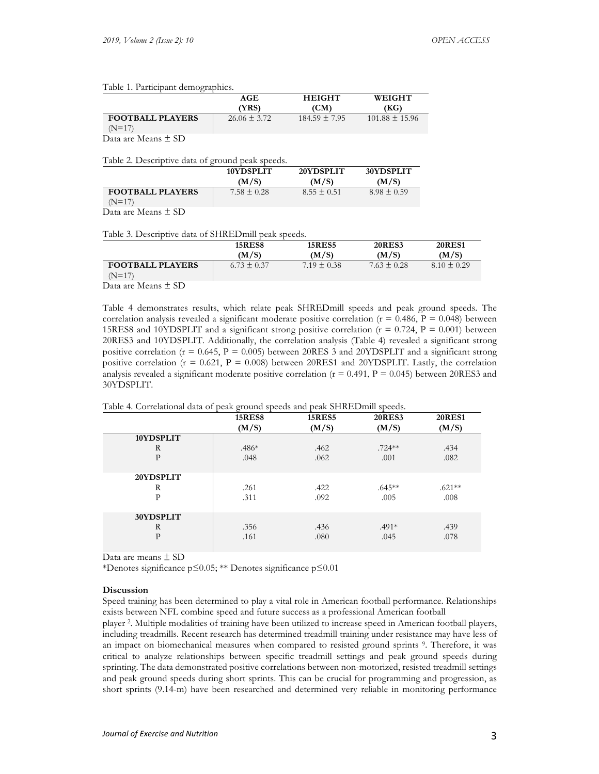|                         | AGE              | <b>HEIGHT</b>     | WEIGHT             |
|-------------------------|------------------|-------------------|--------------------|
|                         | (YRS)            | 'CM)              | (KG)               |
| <b>FOOTBALL PLAYERS</b> | $26.06 \pm 3.72$ | $184.59 \pm 7.95$ | $101.88 \pm 15.96$ |
| $(N=17)$                |                  |                   |                    |
| $-$<br>$-$<br>__        |                  |                   |                    |

Data are Means ± SD

## Table 2. Descriptive data of ground peak speeds.

|                         | 10YDSPLIT       | 20YDSPLIT       | 30YDSPLIT       |
|-------------------------|-----------------|-----------------|-----------------|
|                         | (M/S)           | (M/S)           | (M/S)           |
| <b>FOOTBALL PLAYERS</b> | $7.58 \pm 0.28$ | $8.55 \pm 0.51$ | $8.98 \pm 0.59$ |
| $(N=17)$                |                 |                 |                 |

Data are Means ± SD

#### Table 3. Descriptive data of SHREDmill peak speeds.

|                                     | <b>15RES8</b><br>(M/S) | <b>15RES5</b><br>(M/S) | <b>20RES3</b><br>(M/S) | <b>20RES1</b><br>(M/S) |
|-------------------------------------|------------------------|------------------------|------------------------|------------------------|
| <b>FOOTBALL PLAYERS</b><br>$(N=17)$ | $6.73 \pm 0.37$        | $7.19 \pm 0.38$        | $7.63 \pm 0.28$        | $8.10 \pm 0.29$        |
| $\sim$ $-$<br>$\sim$<br>__          |                        |                        |                        |                        |

Data are Means ± SD

Table 4 demonstrates results, which relate peak SHREDmill speeds and peak ground speeds. The correlation analysis revealed a significant moderate positive correlation ( $r = 0.486$ ,  $P = 0.048$ ) between 15RES8 and 10YDSPLIT and a significant strong positive correlation ( $r = 0.724$ ,  $P = 0.001$ ) between 20RES3 and 10YDSPLIT. Additionally, the correlation analysis (Table 4) revealed a significant strong positive correlation ( $r = 0.645$ ,  $P = 0.005$ ) between 20RES 3 and 20YDSPLIT and a significant strong positive correlation ( $r = 0.621$ ,  $P = 0.008$ ) between 20RES1 and 20YDSPLIT. Lastly, the correlation analysis revealed a significant moderate positive correlation  $(r = 0.491, P = 0.045)$  between 20RES3 and 30YDSPLIT.

Table 4. Correlational data of peak ground speeds and peak SHREDmill speeds.

|              | <b>15RES8</b> | <b>15RES5</b><br>(M/S) | <b>20RES3</b><br>(M/S) | <b>20RES1</b><br>(M/S) |
|--------------|---------------|------------------------|------------------------|------------------------|
|              | (M/S)         |                        |                        |                        |
| 10YDSPLIT    |               |                        |                        |                        |
| R            | $.486*$       | .462                   | $.724**$               | .434                   |
| $\mathbf{P}$ | .048          | .062                   | .001                   | .082                   |
| 20YDSPLIT    |               |                        |                        |                        |
| R            | .261          | .422                   | $.645**$               | $.621**$               |
| $\mathbf{P}$ | .311          | .092                   | .005                   | .008                   |
| 30YDSPLIT    |               |                        |                        |                        |
| R            | .356          | .436                   | $.491*$                | .439                   |
| $\mathbf{P}$ | .161          | .080                   | .045                   | .078                   |

Data are means ± SD

\*Denotes significance p≤0.05; \*\* Denotes significance p≤0.01

#### **Discussion**

Speed training has been determined to play a vital role in American football performance. Relationships exists between NFL combine speed and future success as a professional American football

player 2. Multiple modalities of training have been utilized to increase speed in American football players, including treadmills. Recent research has determined treadmill training under resistance may have less of an impact on biomechanical measures when compared to resisted ground sprints 9. Therefore, it was critical to analyze relationships between specific treadmill settings and peak ground speeds during sprinting. The data demonstrated positive correlations between non-motorized, resisted treadmill settings and peak ground speeds during short sprints. This can be crucial for programming and progression, as short sprints (9.14-m) have been researched and determined very reliable in monitoring performance